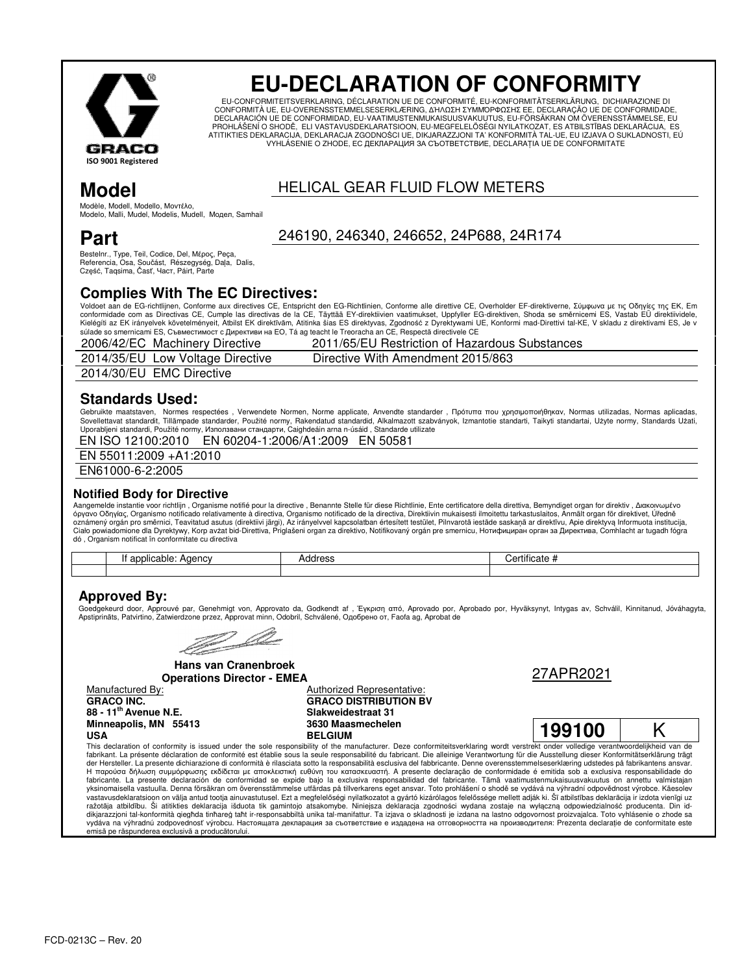

# **EU-DECLARATION OF CONFORMITY**

EU-CONFORMITEITSVERKLARING. DÉCLARATION UE DE CONFORMITÉ. EU-KONFORMITÄTSERKLÄRUNG. DICHIARAZIONE DI CONFORMITÀ UE, EU-OVERENSSTEMMELSESERKLÆRING, ΔΉΛΩΣΗ ΣΥΜΜΟΡΦΩΣΗΣ EE, DECLARAÇÃO UE DE CONFORMIDADE,<br>DECLARACIÓN UE DE CONFORMIDAD. EU-VAATIMUSTENMUKAISUUSVAKUUTUS. EU-FÖRSÄKRAN OM ÖVERENSSTÄMMELSE. EU PROHLÁŠENÍ O SHODĚ, ELI VASTAVUSDEKLARATSIOON, EU-MEGFELELŐSÉGI NYILATKOZAT, ES ATBILSTĪBAS DEKLARĀCIJA, ES ATITIKTIES DEKLARACIJA. DEKLARACIJA ZGODNOŚCI UE. DIKJARAZZJONI TA' KONFORMITÀ TAL-UE. EU IZJAVA O SUKLADNOSTI. EÚ VYHLÁSENIE O ZHODE, EC ДЕКЛАРАЦИЯ ЗА СЪОТВЕТСТВИЕ, DECLARATIA UE DE CONFORMITATE

# Model

# **HELICAL GEAR FLUID FLOW METERS**

Modèle, Modell, Modello, Μοντέλο, Modelo, Malli, Mudel, Modelis, Mudell, Модел, Samhail

# Part

246190, 246340, 246652, 24P688, 24R174

Bestelnr., Type, Teil, Codice, Del, Μέρος, Peça, Referencia, Osa, Součást, Részegység, Daļa, Dalis, Część, Taqsima, Časť, Част, Páirt, Parte

## **Complies With The EC Directives:**

Voldoet aan de EG-richtlijnen, Conforme aux directives CE, Entspricht den EG-Richtlinien, Conforme alle direttive CE, Overholder EF-direktiverne, Σύμφωνα με τις Οδηγίες της ΕΚ, Em conformidade com as Directivas CE, Cumple las directivas de la CE, Täyttää EY-direktiivien vaatimukset, Uppfyller EG-direktiven, Shoda se směrnicemi ES, Vastab EÜ direktiividele, Kielégíti az EK irányelvek követelményeit, Atbilst EK direktīvām, Atitinka šias ES direktyvas, Zgodność z Dyrektywami UE, Konformi mad-Direttivi tal-KE, V skladu z direktivami ES, Je v súlade so smernicami ES, Съвместимост с Директиви на ЕО, Та ag teacht le Treoracha an CE, Respectă directivele CE

| 2006/42/EC Machinery Directive     | 2011/65/EU Restriction of Hazardous Substances |
|------------------------------------|------------------------------------------------|
| 2014/35/EU Low Voltage Directive   | Directive With Amendment 2015/863              |
| $0.014/00/FH$ $FMO$ $D1$ $m2$ $m2$ |                                                |

2014/30/EU EMC Directive

## **Standards Used:**

Gebruikte maatstaven, Normes respectées, Verwendete Normen, Norme applicate, Anvendte standarder, Πρότυπα που χρησιμοποιήθηκαν, Normas utilizadas, Normas aplicadas, Sovellettavat standardit, Tillämpade standarder, Použité normy, Rakendatud standardid, Alkalmazott szabványok, Izmantotie standarti, Taikyti standartai, Użyte normy, Standards Užati, Upperablieni standardi, Použité normy,

EN 60204-1:2006/A1:2009 EN 50581 EN ISO 12100:2010

EN 55011:2009 +A1:2010

EN61000-6-2:2005

#### **Notified Body for Directive**

Aangemelde instantie voor richtlijn, Organisme notifié pour la directive, Benannte Stelle für diese Richtlinie, Ente certificatore della direttiva, Bemyndiget organ for direktiv, Διακοινωμένο όργανο Οδηγίας, Organismo not Ciało powiadomione dla Dyrektywy, Korp avzat bid-Direttiva, Priglašeni organ za direktivo, Notifikovaný orgán pre smernicu, Нотифициран орган за Директива, Comhlacht ar tugadh fógra<br>dó , Organism notificat în conformitate

| ----<br>able<br>Adenc<br>av, | <br>Au.<br>$\sim$ | $\cdot$ .<br><br>$\sim$<br>шсате |
|------------------------------|-------------------|----------------------------------|
|                              |                   |                                  |

## **Approved By:**

Goedgekeurd door, Αρρτουνé par, Genehmigt von, Approvato da, Godkendt af , Έγκριση από, Aprovado por, Aprobado por, Hyväksynyt, Intygas av, Schválil, Kinnitanud, Jóváhagyta,<br>Apstiprināts, Patvirtino, Zatwierdzone przez, A

and a strategy of the contract of the contract of the contract of the contract of the contract of the contract of the contract of the contract of the contract of the contract of the contract of the contract of the contract

**Hans van Cranenbroek Operations Director - EMEA** 

Manufactured By: **GRACO INC.** 88 - 11<sup>th</sup> Avenue N.E. Minneapolis, MN 55413 1194

emisă pe răspunderea exclusivă a producătorului

**Authorized Representative: GRACO DISTRIBUTION BV** Slakweidestraat 31 3630 Maasmechelen **BELGIUM** 





Κ

This declaration of conformity is issued under the sole responsibility of the manufacturer. Deze conformiteitsverklaring wordt verstrekt onder volledige verantwoordelijkheid van de fabrikant. La présente déclaration de conformité est établie sous la seule responsabilité du fabricant. Die alleinige Verantwortung für die Ausstellung dieser Konformitätserklärung trägt der Hersteller. La presente dichiarazione di conformità è rilasciata sotto la responsabilità esclusiva del fabbricante. Denne overensstemmelseserklæring udstedes på fabrikantens ansvar. Η παρούσα δήλωση συμμόρφωσης εκδίδεται με αποκλειστική ευθύνη του κατασκευαστή. A presente declaração de conformidade é emitida sob a exclusiva responsabilidade do fabricante. La presente declaración de conformidad se expide bajo la exclusiva responsabilidad del fabricante. Tämä vaatimustenmukaisuusvakuutus on annettu valmistajan yksinomaisella vastuulla. Denna försäkran om överensstämmelse utfärdas på tillverkarens eget ansvar. Toto prohlášení o shodě se vydává na výhradní odpovědnost výrobce. Käesolev vastavusdeklaratsioon on välja antud tootja ainuvastutusel. Ezt a megfelelőségi nyilatkozatot a gyártó kizárólagos felelőssége mellett adják ki. Šī atbilstības deklarācija ir izdota vienīgi uz ražotāja ir izdota vienīgi uz dikiarazzioni tal konformità qieqhda tinhareq taht ir responsabbiltà unika tal manifattur. Ta iziava o skladnosti je izdana na lastno odgovornost proizvajalca. Toto vyhlásenie o zhode sa vydáva na výhradnú zodpovednosť výrobcu. Настоящата декларация за съответствие е издадена на отговорността на производителя: Prezenta declaratie de conformitate este